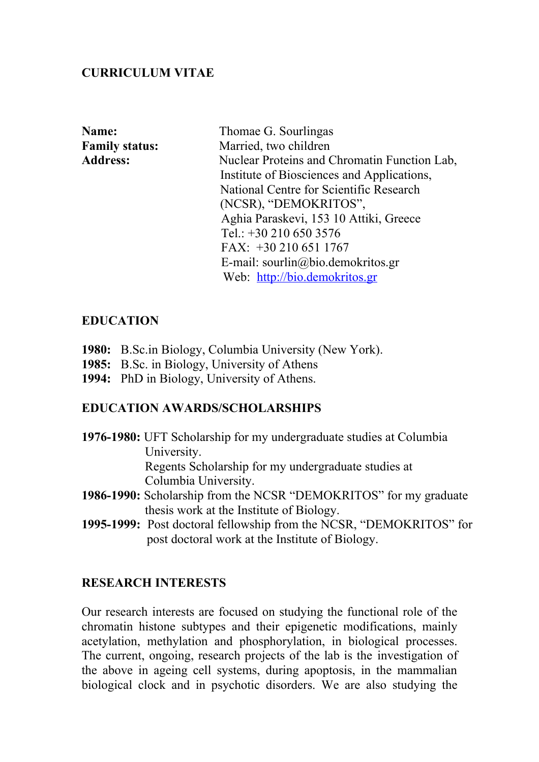### **CURRICULUM VITAE**

**Name:** Thomae G. Sourlingas **Family status:** Married, two children Address: Nuclear Proteins and Chromatin Function Lab, Institute of Biosciences and Applications, National Centre for Scientific Research (NCSR), "DEMOKRITOS", Aghia Paraskevi, 153 10 Attiki, Greece Tel.: +30 210 650 3576  $FAX: +302106511767$  E-mail: sourlin@bio.demokritos.gr Web: [http://bio.demokritos.gr](http://bio.demokritos.gr/)

#### **EDUCATION**

- **1980:** B.Sc.in Biology, Columbia University (New York).
- **1985:** B.Sc. in Biology, University of Athens
- **1994:** PhD in Biology, University of Athens.

#### **EDUCATION AWARDS/SCHOLARSHIPS**

- **1976-1980:** UFT Scholarship for my undergraduate studies at Columbia University. Regents Scholarship for my undergraduate studies at Columbia University.
- **1986-1990:** Scholarship from the NCSR "DEMOKRITOS" for my graduate thesis work at the Institute of Biology.
- **1995-1999:** Post doctoral fellowship from the NCSR, "DEMOKRITOS" for post doctoral work at the Institute of Biology.

#### **RESEARCH INTERESTS**

Our research interests are focused on studying the functional role of the chromatin histone subtypes and their epigenetic modifications, mainly acetylation, methylation and phosphorylation, in biological processes. The current, ongoing, research projects of the lab is the investigation of the above in ageing cell systems, during apoptosis, in the mammalian biological clock and in psychotic disorders. We are also studying the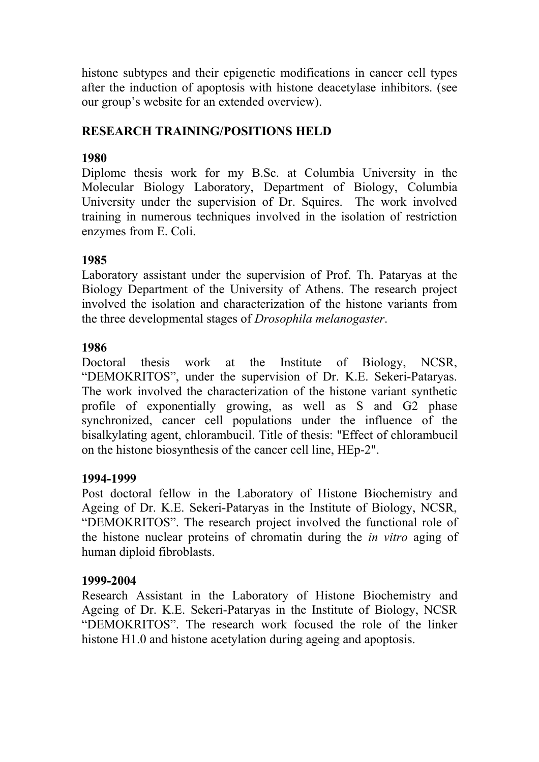histone subtypes and their epigenetic modifications in cancer cell types after the induction of apoptosis with histone deacetylase inhibitors. (see our group's website for an extended overview).

## **RESEARCH TRAINING/POSITIONS HELD**

## **1980**

Diplome thesis work for my B.Sc. at Columbia University in the Molecular Biology Laboratory, Department of Biology, Columbia University under the supervision of Dr. Squires. The work involved training in numerous techniques involved in the isolation of restriction enzymes from E. Coli.

### **1985**

Laboratory assistant under the supervision of Prof. Th. Pataryas at the Biology Department of the University of Athens. The research project involved the isolation and characterization of the histone variants from the three developmental stages of *Drosophila melanogaster*.

### **1986**

Doctoral thesis work at the Institute of Biology, NCSR, "DEMOKRITOS", under the supervision of Dr. K.E. Sekeri-Pataryas. The work involved the characterization of the histone variant synthetic profile of exponentially growing, as well as S and G2 phase synchronized, cancer cell populations under the influence of the bisalkylating agent, chlorambucil. Title of thesis: "Effect of chlorambucil on the histone biosynthesis of the cancer cell line, HEp-2".

#### **1994-1999**

Post doctoral fellow in the Laboratory of Histone Biochemistry and Ageing of Dr. K.E. Sekeri-Pataryas in the Institute of Biology, NCSR, "DEMOKRITOS". The research project involved the functional role of the histone nuclear proteins of chromatin during the *in vitro* aging of human diploid fibroblasts.

#### **1999-2004**

Research Assistant in the Laboratory of Histone Biochemistry and Ageing of Dr. K.E. Sekeri-Pataryas in the Institute of Biology, NCSR "DEMOKRITOS". The research work focused the role of the linker histone H<sub>1.0</sub> and histone acetylation during ageing and apoptosis.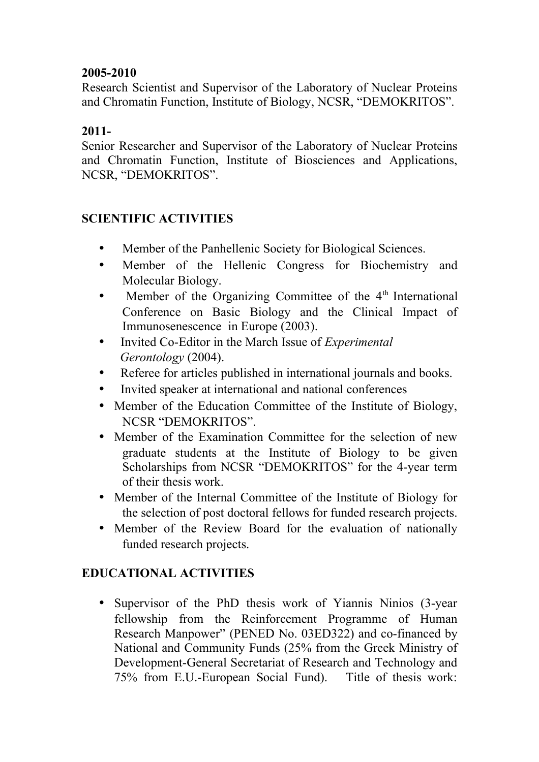## **2005-2010**

Research Scientist and Supervisor of the Laboratory of Nuclear Proteins and Chromatin Function, Institute of Biology, NCSR, "DEMOKRITOS".

# **2011-**

Senior Researcher and Supervisor of the Laboratory of Nuclear Proteins and Chromatin Function, Institute of Biosciences and Applications, NCSR, "DEMOKRITOS".

# **SCIENTIFIC ACTIVITIES**

- Member of the Panhellenic Society for Biological Sciences.
- Member of the Hellenic Congress for Biochemistry and Molecular Biology.
- Member of the Organizing Committee of the  $4<sup>th</sup>$  International Conference on Basic Biology and the Clinical Impact of Immunosenescence in Europe (2003).
- Invited Co-Editor in the March Issue of *Experimental Gerontology* (2004).
- Referee for articles published in international journals and books.
- Invited speaker at international and national conferences
- Member of the Education Committee of the Institute of Biology, NCSR "DEMOKRITOS".
- Member of the Examination Committee for the selection of new graduate students at the Institute of Biology to be given Scholarships from NCSR "DEMOKRITOS" for the 4-year term of their thesis work.
- Member of the Internal Committee of the Institute of Biology for the selection of post doctoral fellows for funded research projects.
- Member of the Review Board for the evaluation of nationally funded research projects.

# **EDUCATIONAL ACTIVITIES**

• Supervisor of the PhD thesis work of Yiannis Ninios (3-year fellowship from the Reinforcement Programme of Human Research Manpower" (PENED No. 03ED322) and co-financed by National and Community Funds (25% from the Greek Ministry of Development-General Secretariat of Research and Technology and 75% from E.U.-European Social Fund). Title of thesis work: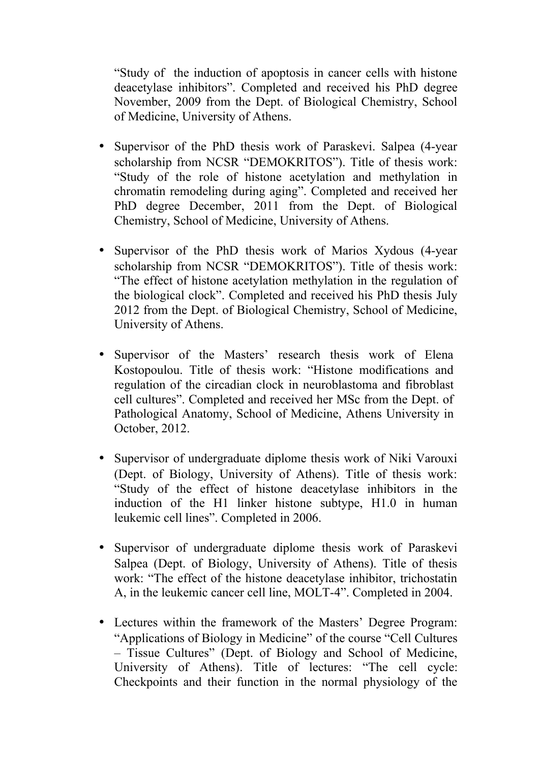"Study of the induction of apoptosis in cancer cells with histone deacetylase inhibitors". Completed and received his PhD degree November, 2009 from the Dept. of Biological Chemistry, School of Medicine, University of Athens.

- Supervisor of the PhD thesis work of Paraskevi. Salpea (4-year scholarship from NCSR "DEMOKRITOS"). Title of thesis work: "Study of the role of histone acetylation and methylation in chromatin remodeling during aging". Completed and received her PhD degree December, 2011 from the Dept. of Biological Chemistry, School of Medicine, University of Athens.
- Supervisor of the PhD thesis work of Marios Xydous (4-year scholarship from NCSR "DEMOKRITOS"). Title of thesis work: "The effect of histone acetylation methylation in the regulation of the biological clock". Completed and received his PhD thesis July 2012 from the Dept. of Biological Chemistry, School of Medicine, University of Athens.
- Supervisor of the Masters' research thesis work of Elena Kostopoulou. Title of thesis work: "Histone modifications and regulation of the circadian clock in neuroblastoma and fibroblast cell cultures". Completed and received her MSc from the Dept. of Pathological Anatomy, School of Medicine, Athens University in October, 2012.
- Supervisor of undergraduate diplome thesis work of Niki Varouxi (Dept. of Biology, University of Athens). Title of thesis work: "Study of the effect of histone deacetylase inhibitors in the induction of the H1 linker histone subtype, H1.0 in human leukemic cell lines". Completed in 2006.
- Supervisor of undergraduate diplome thesis work of Paraskevi Salpea (Dept. of Biology, University of Athens). Title of thesis work: "The effect of the histone deacetylase inhibitor, trichostatin A, in the leukemic cancer cell line, MOLT-4". Completed in 2004.
- Lectures within the framework of the Masters' Degree Program: "Applications of Biology in Medicine" of the course "Cell Cultures – Tissue Cultures" (Dept. of Biology and School of Medicine, University of Athens). Title of lectures: "The cell cycle: Checkpoints and their function in the normal physiology of the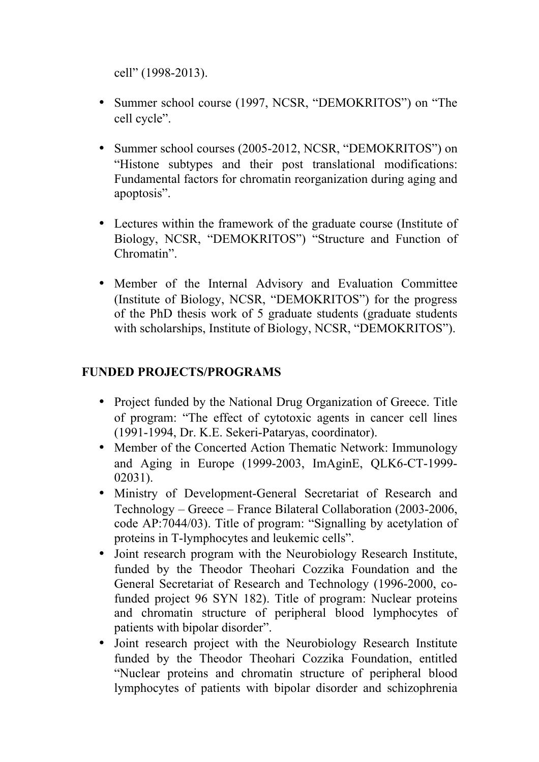cell" (1998-2013).

- Summer school course (1997, NCSR, "DEMOKRITOS") on "The cell cycle".
- Summer school courses (2005-2012, NCSR, "DEMOKRITOS") on "Histone subtypes and their post translational modifications: Fundamental factors for chromatin reorganization during aging and apoptosis".
- Lectures within the framework of the graduate course (Institute of Biology, NCSR, "DEMOKRITOS") "Structure and Function of Chromatin".
- Member of the Internal Advisory and Evaluation Committee (Institute of Biology, NCSR, "DEMOKRITOS") for the progress of the PhD thesis work of 5 graduate students (graduate students with scholarships, Institute of Biology, NCSR, "DEMOKRITOS").

# **FUNDED PROJECTS/PROGRAMS**

- Project funded by the National Drug Organization of Greece. Title of program: "The effect of cytotoxic agents in cancer cell lines (1991-1994, Dr. K.E. Sekeri-Pataryas, coordinator).
- Member of the Concerted Action Thematic Network: Immunology and Aging in Europe (1999-2003, ImAginE, QLK6-CT-1999- 02031).
- Ministry of Development-General Secretariat of Research and Technology – Greece – France Bilateral Collaboration (2003-2006, code AP:7044/03). Title of program: "Signalling by acetylation of proteins in T-lymphocytes and leukemic cells".
- Joint research program with the Neurobiology Research Institute, funded by the Theodor Theohari Cozzika Foundation and the General Secretariat of Research and Technology (1996-2000, cofunded project 96 SYN 182). Title of program: Nuclear proteins and chromatin structure of peripheral blood lymphocytes of patients with bipolar disorder".
- Joint research project with the Neurobiology Research Institute funded by the Theodor Theohari Cozzika Foundation, entitled "Nuclear proteins and chromatin structure of peripheral blood lymphocytes of patients with bipolar disorder and schizophrenia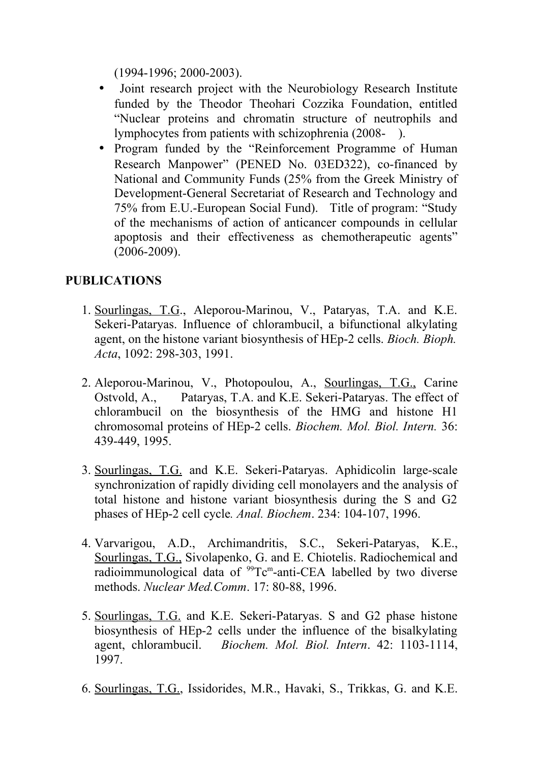(1994-1996; 2000-2003).

- Joint research project with the Neurobiology Research Institute funded by the Theodor Theohari Cozzika Foundation, entitled "Nuclear proteins and chromatin structure of neutrophils and lymphocytes from patients with schizophrenia (2008- ).
- Program funded by the "Reinforcement Programme of Human Research Manpower" (PENED No. 03ED322), co-financed by National and Community Funds (25% from the Greek Ministry of Development-General Secretariat of Research and Technology and 75% from E.U.-European Social Fund). Title of program: "Study of the mechanisms of action of anticancer compounds in cellular apoptosis and their effectiveness as chemotherapeutic agents" (2006-2009).

## **PUBLICATIONS**

- 1. Sourlingas, T.G., Aleporou-Marinou, V., Pataryas, T.A. and K.E. Sekeri-Pataryas. Influence of chlorambucil, a bifunctional alkylating agent, on the histone variant biosynthesis of HEp-2 cells. *Bioch. Bioph. Acta*, 1092: 298-303, 1991.
- 2. Aleporou-Marinou, V., Photopoulou, A., Sourlingas, T.G., Carine Ostvold, A., Pataryas, T.A. and K.E. Sekeri-Pataryas. The effect of chlorambucil on the biosynthesis of the HMG and histone H1 chromosomal proteins of HEp-2 cells. *Biochem. Mol. Biol. Intern.* 36: 439-449, 1995.
- 3. Sourlingas, T.G. and K.E. Sekeri-Pataryas. Aphidicolin large-scale synchronization of rapidly dividing cell monolayers and the analysis of total histone and histone variant biosynthesis during the S and G2 phases of HEp-2 cell cycle*. Anal. Biochem*. 234: 104-107, 1996.
- 4. Varvarigou, A.D., Archimandritis, S.C., Sekeri-Pataryas, K.E., Sourlingas, T.G., Sivolapenko, G. and E. Chiotelis. Radiochemical and radioimmunological data of  $99^{\circ}$ Tc<sup>m</sup>-anti-CEA labelled by two diverse methods. *Nuclear Med.Comm*. 17: 80-88, 1996.
- 5. Sourlingas, T.G. and K.E. Sekeri-Pataryas. S and G2 phase histone biosynthesis of HEp-2 cells under the influence of the bisalkylating agent, chlorambucil. *Biochem. Mol. Biol. Intern*. 42: 1103-1114, 1997.
- 6. Sourlingas, T.G., Issidorides, M.R., Havaki, S., Trikkas, G. and K.E.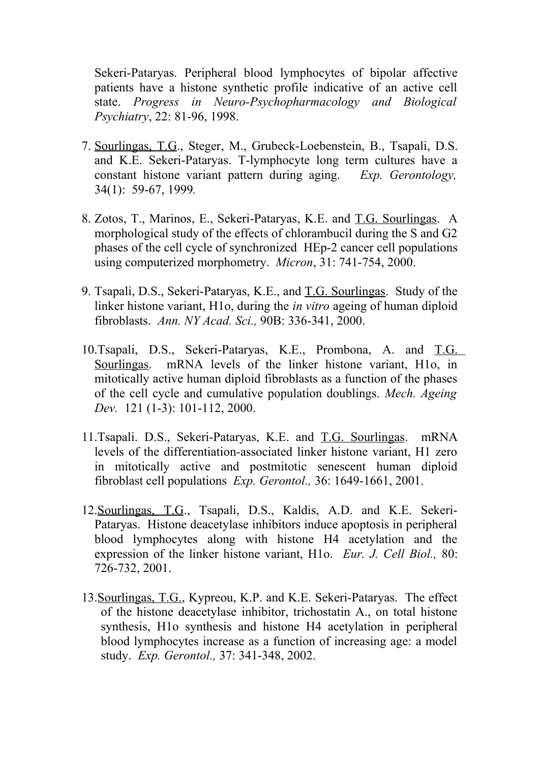Sekeri-Pataryas. Peripheral blood lymphocytes of bipolar affective patients have a histone synthetic profile indicative of an active cell state. *Progress in Neuro-Psychopharmacology and Biological Psychiatry*, 22: 81-96, 1998.

- 7. Sourlingas, T.G., Steger, M., Grubeck-Loebenstein, B., Tsapali, D.S. and K.E. Sekeri-Pataryas. T-lymphocyte long term cultures have a constant histone variant pattern during aging. *Exp. Gerontolοgy,* 34(1): 59-67, 1999*.*
- 8. Zotos, T., Marinos, E., Sekeri-Pataryas, K.E. and T.G. Sourlingas. A morphological study of the effects of chlorambucil during the S and G2 phases of the cell cycle of synchronized HEp-2 cancer cell populations using computerized morphometry. *Micron*, 31: 741-754, 2000.
- 9. Tsapali, D.S., Sekeri-Pataryas, K.E., and T. G . Sourlingas. Study of the linker histone variant, H1o, during the *in vitro* ageing of human diploid fibroblasts. *Ann. NY Acad. Sci.,* 90B: 336-341, 2000.
- 10.Tsapali, D.S., Sekeri-Pataryas, K.E., Prombona, A. and T.G. Sourlingas. mRNA levels of the linker histone variant, H1o, in mitotically active human diploid fibroblasts as a function of the phases of the cell cycle and cumulative population doublings. *Mech. Ageing Dev.* 121 (1-3): 101-112, 2000.
- 11.Tsapali. D.S., Sekeri-Pataryas, K.E. and T.G. Sourlingas. mRNA levels of the differentiation-associated linker histone variant, H1 zero in mitotically active and postmitotic senescent human diploid fibroblast cell populations *Exp. Gerontol.,* 36: 1649-1661, 2001.
- 12.Sourlingas, T.G., Tsapali, D.S., Kaldis, A.D. and K.E. Sekeri-Pataryas. Histone deacetylase inhibitors induce apoptosis in peripheral blood lymphocytes along with histone H4 acetylation and the expression of the linker histone variant, H1o. *Eur. J. Cell Biol.,* 80: 726-732, 2001.
- 13.Sourlingas, T.G., Kypreou, K.P. and K.E. Sekeri-Pataryas. The effect of the histone deacetylase inhibitor, trichostatin A., on total histone synthesis, H1o synthesis and histone H4 acetylation in peripheral blood lymphocytes increase as a function of increasing age: a model study. *Exp. Gerontol.,* 37: 341-348, 2002.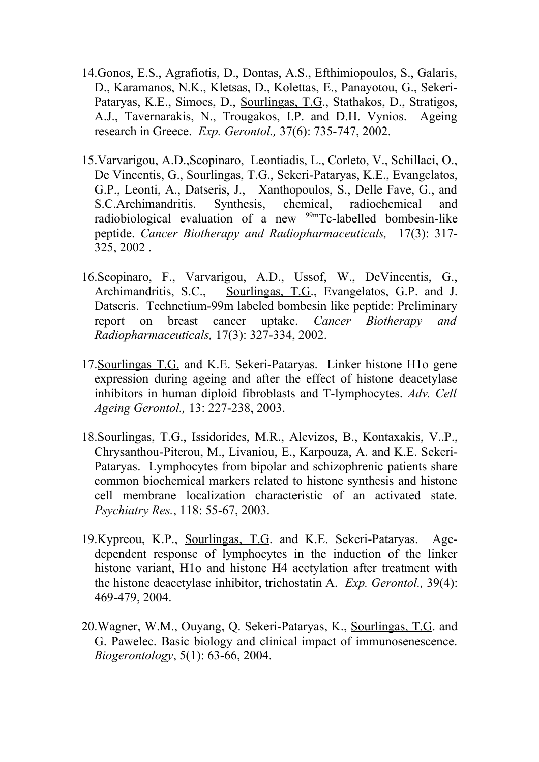- 14.Gonos, E.S., Agrafiotis, D., Dontas, A.S., Efthimiopoulos, S., Galaris, D., Karamanos, N.K., Kletsas, D., Kolettas, E., Panayotou, G., Sekeri-Pataryas, K.E., Simoes, D., Sourlingas, T.G., Stathakos, D., Stratigos, A.J., Tavernarakis, N., Trougakos, I.P. and D.H. Vynios. Ageing research in Greece. *Εxp. Gerontol.,* 37(6): 735-747, 2002.
- 15.Varvarigou, A.D.,Scopinaro, Leontiadis, L., Corleto, V., Schillaci, O., De Vincentis, G., Sourlingas, T.G., Sekeri-Pataryas, K.E., Evangelatos, G.P., Leonti, A., Datseris, J., Xanthopoulos, S., Delle Fave, G., and S.C.Archimandritis. Synthesis, chemical, radiochemical and radiobiological evaluation of a new 99mTc-labelled bombesin-like peptide. *Cancer Biotherapy and Radiopharmaceuticals,* 17(3): 317- 325, 2002 .
- 16.Scopinaro, F., Varvarigou, A.D., Ussof, W., DeVincentis, G., Archimandritis, S.C., Sourlingas, T.G., Evangelatos, G.P. and J. Datseris. Technetium-99m labeled bombesin like peptide: Preliminary report on breast cancer uptake. *Cancer Biotherapy and Radiopharmaceuticals,* 17(3): 327-334, 2002.
- 17.Sourlingas T.G. and K.E. Sekeri-Pataryas. Linker histone H1o gene expression during ageing and after the effect of histone deacetylase inhibitors in human diploid fibroblasts and T-lymphocytes. *Adv. Cell Ageing Gerontol.,* 13: 227-238, 2003.
- 18. Sourlingas, T.G., Issidorides, M.R., Alevizos, B., Kontaxakis, V.P., Chrysanthou-Piterou, M., Livaniou, E., Karpouza, A. and K.E. Sekeri-Pataryas. Lymphocytes from bipolar and schizophrenic patients share common biochemical markers related to histone synthesis and histone cell membrane localization characteristic of an activated state. *Psychiatry Res.*, 118: 55-67, 2003.
- 19.Kypreou, K.P., Sourlingas, T.G. and K.E. Sekeri-Pataryas. Agedependent response of lymphocytes in the induction of the linker histone variant, H1o and histone H4 acetylation after treatment with the histone deacetylase inhibitor, trichostatin A. *Exp. Gerontol.,* 39(4): 469-479, 2004.
- 20. Wagner, W.M., Ouyang, O. Sekeri-Pataryas, K., Sourlingas, T.G. and G. Pawelec. Basic biology and clinical impact of immunosenescence. *Biogerontology*, 5(1): 63-66, 2004.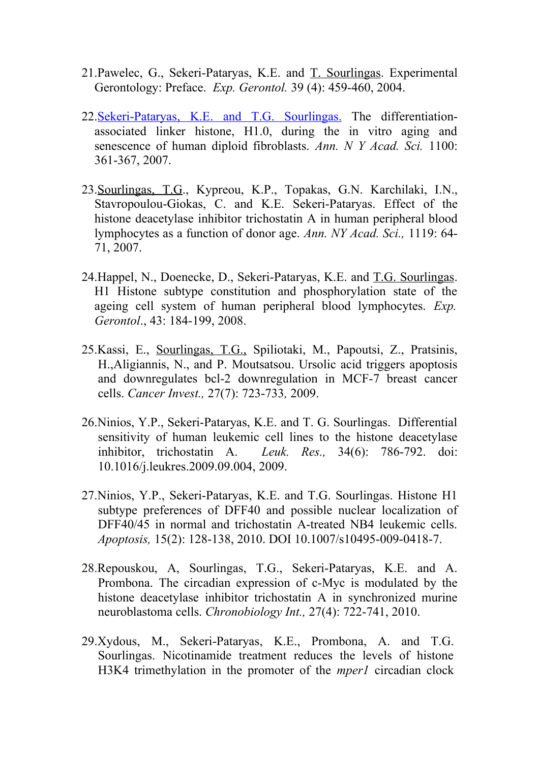- 21.Pawelec, G., Sekeri-Pataryas, K.E. and T. Sourlingas. Experimental Gerontology: Preface. *Exp. Gerontol.* 39 (4): 459-460, 2004.
- 22. Sekeri-Pataryas, K.E. and T.G. Sourlingas. The differentiationassociated linker histone, H1.0, during the in vitro aging and senescence of human diploid fibroblasts. *Ann. N Y Acad. Sci.* 1100: 361-367, 2007.
- 23. Sourlingas, T.G., Kypreou, K.P., Topakas, G.N. Karchilaki, I.N., Stavropoulou-Giokas, C. and K.E. Sekeri-Pataryas. Effect of the histone deacetylase inhibitor trichostatin A in human peripheral blood lymphocytes as a function of donor age. *Ann. NY Acad. Sci.,* 1119: 64- 71, 2007.
- 24. Happel, N., Doenecke, D., Sekeri-Pataryas, K.E. and T.G. Sourlingas. H1 Histone subtype constitution and phosphorylation state of the ageing cell system of human peripheral blood lymphocytes. *Exp. Gerontol*., 43: 184-199, 2008.
- 25.Kassi, E., Sourlingas, T.G., Spiliotaki, M., Papoutsi, Z., Pratsinis, H.,Aligiannis, N., and P. Moutsatsou. Ursolic acid triggers apoptosis and downregulates bcl-2 downregulation in MCF-7 breast cancer cells. *Cancer Invest.,* 27(7): 723-733*,* 2009.
- 26.Ninios, Y.P., Sekeri-Pataryas, K.E. and T. G. Sourlingas. Differential sensitivity of human leukemic cell lines to the histone deacetylase inhibitor, trichostatin A. *Leuk. Res.,* 34(6): 786-792. doi: 10.1016/j.leukres.2009.09.004, 2009.
- 27.Ninios, Y.P., Sekeri-Pataryas, K.E. and T.G. Sourlingas. Histone H1 subtype preferences of DFF40 and possible nuclear localization of DFF40/45 in normal and trichostatin A-treated NB4 leukemic cells. *Apoptosis,* 15(2): 128-138, 2010. DOI 10.1007/s10495-009-0418-7.
- 28.Repouskou, A, Sourlingas, T.G., Sekeri-Pataryas, K.E. and A. Prombona. The circadian expression of c-Myc is modulated by the histone deacetylase inhibitor trichostatin A in synchronized murine neuroblastoma cells. *Chronobiology Int.,* 27(4): 722-741, 2010.
- 29.Xydous, M., Sekeri-Pataryas, K.E., Prombona, A. and T.G. Sourlingas. Nicotinamide treatment reduces the levels of histone H3K4 trimethylation in the promoter of the *mper1* circadian clock